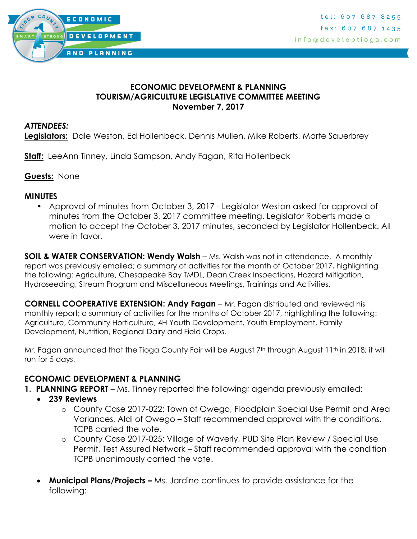

### **ECONOMIC DEVELOPMENT & PLANNING TOURISM/AGRICULTURE LEGISLATIVE COMMITTEE MEETING November 7, 2017**

### *ATTENDEES:*

**Legislators:** Dale Weston, Ed Hollenbeck, Dennis Mullen, Mike Roberts, Marte Sauerbrey

**Staff:** LeeAnn Tinney, Linda Sampson, Andy Fagan, Rita Hollenbeck

**Guests:** None

#### **MINUTES**

• Approval of minutes from October 3, 2017 - Legislator Weston asked for approval of minutes from the October 3, 2017 committee meeting. Legislator Roberts made a motion to accept the October 3, 2017 minutes, seconded by Legislator Hollenbeck. All were in favor.

**SOIL & WATER CONSERVATION: Wendy Walsh** – Ms. Walsh was not in attendance. A monthly report was previously emailed; a summary of activities for the month of October 2017, highlighting the following: Agriculture, Chesapeake Bay TMDL, Dean Creek Inspections, Hazard Mitigation, Hydroseeding, Stream Program and Miscellaneous Meetings, Trainings and Activities.

**CORNELL COOPERATIVE EXTENSION: Andy Fagan** – Mr. Fagan distributed and reviewed his monthly report; a summary of activities for the months of October 2017, highlighting the following: Agriculture, Community Horticulture, 4H Youth Development, Youth Employment, Family Development, Nutrition, Regional Dairy and Field Crops.

Mr. Fagan announced that the Tioga County Fair will be August  $7<sup>th</sup>$  through August  $11<sup>th</sup>$  in 2018; it will run for 5 days.

## **ECONOMIC DEVELOPMENT & PLANNING**

- **1. PLANNING REPORT** Ms. Tinney reported the following; agenda previously emailed:
	- **239 Reviews**
		- o County Case 2017-022: Town of Owego, Floodplain Special Use Permit and Area Variances, Aldi of Owego – Staff recommended approval with the conditions. TCPB carried the vote.
		- o County Case 2017-025: Village of Waverly, PUD Site Plan Review / Special Use Permit, Test Assured Network – Staff recommended approval with the condition TCPB unanimously carried the vote.
	- **Municipal Plans/Projects –** Ms. Jardine continues to provide assistance for the following: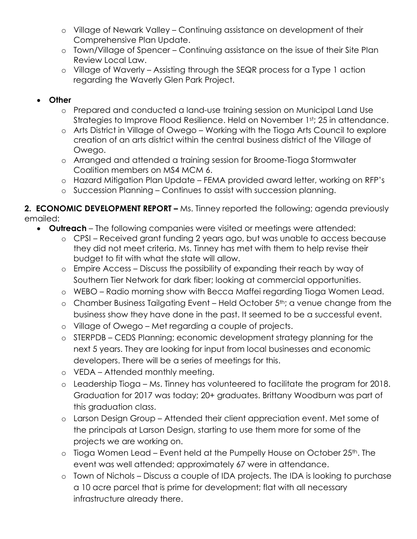- o Village of Newark Valley Continuing assistance on development of their Comprehensive Plan Update.
- o Town/Village of Spencer Continuing assistance on the issue of their Site Plan Review Local Law.
- o Village of Waverly Assisting through the SEQR process for a Type 1 action regarding the Waverly Glen Park Project.

# **Other**

- o Prepared and conducted a land-use training session on Municipal Land Use Strategies to Improve Flood Resilience. Held on November 1st; 25 in attendance.
- o Arts District in Village of Owego Working with the Tioga Arts Council to explore creation of an arts district within the central business district of the Village of Owego.
- o Arranged and attended a training session for Broome-Tioga Stormwater Coalition members on MS4 MCM 6.
- o Hazard Mitigation Plan Update FEMA provided award letter, working on RFP's
- o Succession Planning Continues to assist with succession planning.

**2. ECONOMIC DEVELOPMENT REPORT –** Ms. Tinney reported the following; agenda previously emailed:

- **Outreach** The following companies were visited or meetings were attended:
	- o CPSI Received grant funding 2 years ago, but was unable to access because they did not meet criteria. Ms. Tinney has met with them to help revise their budget to fit with what the state will allow.
	- o Empire Access Discuss the possibility of expanding their reach by way of Southern Tier Network for dark fiber; looking at commercial opportunities.
	- o WEBO Radio morning show with Becca Maffei regarding Tioga Women Lead.
	- o Chamber Business Tailgating Event Held October 5th; a venue change from the business show they have done in the past. It seemed to be a successful event.
	- o Village of Owego Met regarding a couple of projects.
	- o STERPDB CEDS Planning; economic development strategy planning for the next 5 years. They are looking for input from local businesses and economic developers. There will be a series of meetings for this.
	- o VEDA Attended monthly meeting.
	- o Leadership Tioga Ms. Tinney has volunteered to facilitate the program for 2018. Graduation for 2017 was today; 20+ graduates. Brittany Woodburn was part of this graduation class.
	- o Larson Design Group Attended their client appreciation event. Met some of the principals at Larson Design, starting to use them more for some of the projects we are working on.
	- $\circ$  Tioga Women Lead Event held at the Pumpelly House on October 25<sup>th</sup>. The event was well attended; approximately 67 were in attendance.
	- o Town of Nichols Discuss a couple of IDA projects. The IDA is looking to purchase a 10 acre parcel that is prime for development; flat with all necessary infrastructure already there.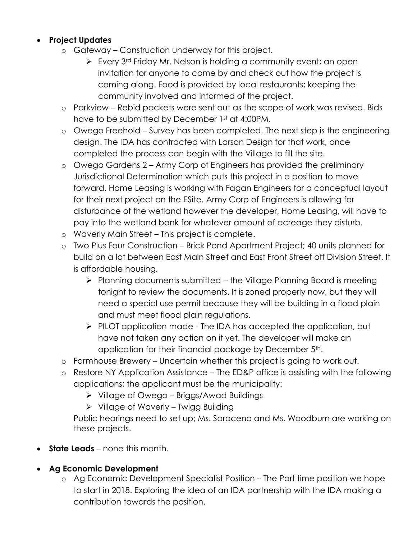## **Project Updates**

- o Gateway Construction underway for this project.
	- Every 3<sup>rd</sup> Friday Mr. Nelson is holding a community event; an open invitation for anyone to come by and check out how the project is coming along. Food is provided by local restaurants; keeping the community involved and informed of the project.
- o Parkview Rebid packets were sent out as the scope of work was revised. Bids have to be submitted by December 1st at 4:00PM.
- o Owego Freehold Survey has been completed. The next step is the engineering design. The IDA has contracted with Larson Design for that work, once completed the process can begin with the Village to fill the site.
- o Owego Gardens 2 Army Corp of Engineers has provided the preliminary Jurisdictional Determination which puts this project in a position to move forward. Home Leasing is working with Fagan Engineers for a conceptual layout for their next project on the ESite. Army Corp of Engineers is allowing for disturbance of the wetland however the developer, Home Leasing, will have to pay into the wetland bank for whatever amount of acreage they disturb.
- o Waverly Main Street This project is complete.
- o Two Plus Four Construction Brick Pond Apartment Project; 40 units planned for build on a lot between East Main Street and East Front Street off Division Street. It is affordable housing.
	- $\triangleright$  Planning documents submitted the Village Planning Board is meeting tonight to review the documents. It is zoned properly now, but they will need a special use permit because they will be building in a flood plain and must meet flood plain regulations.
	- $\triangleright$  PILOT application made The IDA has accepted the application, but have not taken any action on it yet. The developer will make an application for their financial package by December 5<sup>th</sup>.
- o Farmhouse Brewery Uncertain whether this project is going to work out.
- o Restore NY Application Assistance The ED&P office is assisting with the following applications; the applicant must be the municipality:
	- Village of Owego Briggs/Awad Buildings
	- $\triangleright$  Village of Waverly Twigg Building

Public hearings need to set up; Ms. Saraceno and Ms. Woodburn are working on these projects.

- **State Leads** none this month.
- **Ag Economic Development** 
	- o Ag Economic Development Specialist Position The Part time position we hope to start in 2018. Exploring the idea of an IDA partnership with the IDA making a contribution towards the position.